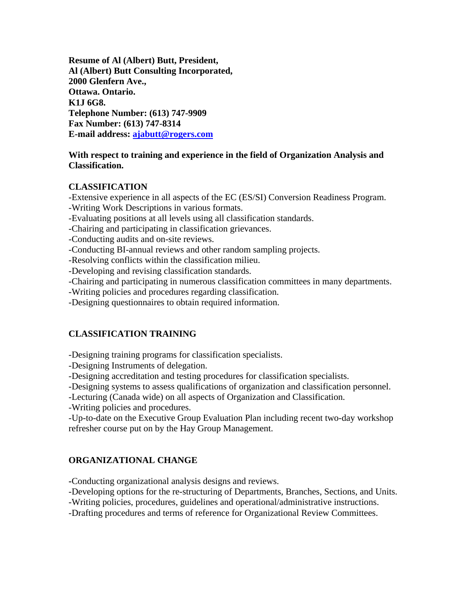**Resume of Al (Albert) Butt, President, Al (Albert) Butt Consulting Incorporated, 2000 Glenfern Ave., Ottawa. Ontario. K1J 6G8. Telephone Number: (613) 747-9909 Fax Number: (613) 747-8314 E-mail address: [ajabutt@rogers.com](mailto:ajabutt@rogers.com)**

#### **With respect to training and experience in the field of Organization Analysis and Classification.**

### **CLASSIFICATION**

-Extensive experience in all aspects of the EC (ES/SI) Conversion Readiness Program. -Writing Work Descriptions in various formats.

-Evaluating positions at all levels using all classification standards.

-Chairing and participating in classification grievances.

-Conducting audits and on-site reviews.

-Conducting BI-annual reviews and other random sampling projects.

-Resolving conflicts within the classification milieu.

-Developing and revising classification standards.

-Chairing and participating in numerous classification committees in many departments.

-Writing policies and procedures regarding classification.

-Designing questionnaires to obtain required information.

# **CLASSIFICATION TRAINING**

-Designing training programs for classification specialists.

-Designing Instruments of delegation.

-Designing accreditation and testing procedures for classification specialists.

-Designing systems to assess qualifications of organization and classification personnel.

-Lecturing (Canada wide) on all aspects of Organization and Classification.

-Writing policies and procedures.

-Up-to-date on the Executive Group Evaluation Plan including recent two-day workshop refresher course put on by the Hay Group Management.

# **ORGANIZATIONAL CHANGE**

**-**Conducting organizational analysis designs and reviews.

-Developing options for the re-structuring of Departments, Branches, Sections, and Units.

-Writing policies, procedures, guidelines and operational/administrative instructions.

-Drafting procedures and terms of reference for Organizational Review Committees.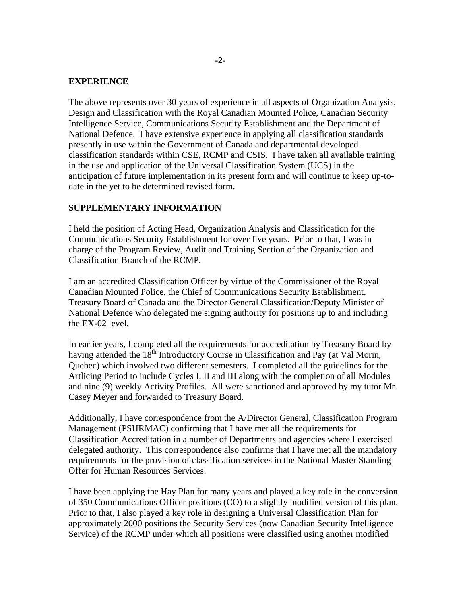#### **EXPERIENCE**

The above represents over 30 years of experience in all aspects of Organization Analysis, Design and Classification with the Royal Canadian Mounted Police, Canadian Security Intelligence Service, Communications Security Establishment and the Department of National Defence. I have extensive experience in applying all classification standards presently in use within the Government of Canada and departmental developed classification standards within CSE, RCMP and CSIS. I have taken all available training in the use and application of the Universal Classification System (UCS) in the anticipation of future implementation in its present form and will continue to keep up-todate in the yet to be determined revised form.

#### **SUPPLEMENTARY INFORMATION**

I held the position of Acting Head, Organization Analysis and Classification for the Communications Security Establishment for over five years. Prior to that, I was in charge of the Program Review, Audit and Training Section of the Organization and Classification Branch of the RCMP.

I am an accredited Classification Officer by virtue of the Commissioner of the Royal Canadian Mounted Police, the Chief of Communications Security Establishment, Treasury Board of Canada and the Director General Classification/Deputy Minister of National Defence who delegated me signing authority for positions up to and including the EX-02 level.

In earlier years, I completed all the requirements for accreditation by Treasury Board by having attended the  $18<sup>th</sup>$  Introductory Course in Classification and Pay (at Val Morin, Quebec) which involved two different semesters. I completed all the guidelines for the Artlicing Period to include Cycles I, II and III along with the completion of all Modules and nine (9) weekly Activity Profiles. All were sanctioned and approved by my tutor Mr. Casey Meyer and forwarded to Treasury Board.

Additionally, I have correspondence from the A/Director General, Classification Program Management (PSHRMAC) confirming that I have met all the requirements for Classification Accreditation in a number of Departments and agencies where I exercised delegated authority. This correspondence also confirms that I have met all the mandatory requirements for the provision of classification services in the National Master Standing Offer for Human Resources Services.

I have been applying the Hay Plan for many years and played a key role in the conversion of 350 Communications Officer positions (CO) to a slightly modified version of this plan. Prior to that, I also played a key role in designing a Universal Classification Plan for approximately 2000 positions the Security Services (now Canadian Security Intelligence Service) of the RCMP under which all positions were classified using another modified